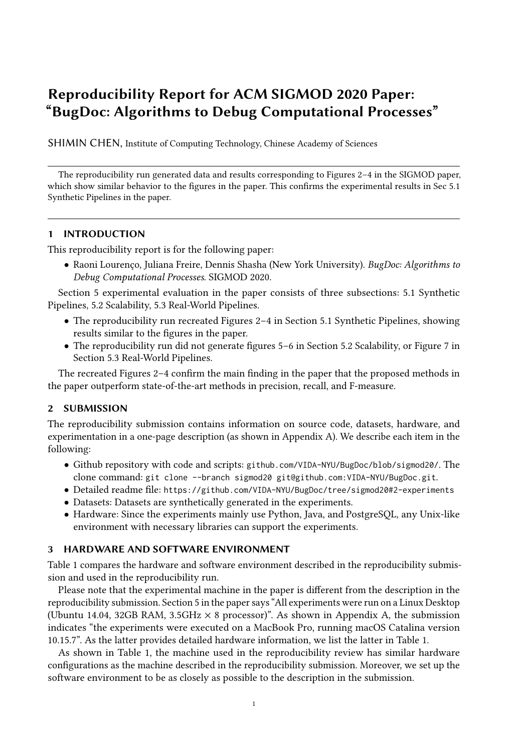# Reproducibility Report for ACM SIGMOD 2020 Paper: "BugDoc: Algorithms to Debug Computational Processes"

SHIMIN CHEN, Institute of Computing Technology, Chinese Academy of Sciences

The reproducibility run generated data and results corresponding to Figures 2–4 in the SIGMOD paper, which show similar behavior to the figures in the paper. This confirms the experimental results in Sec 5.1 Synthetic Pipelines in the paper.

## 1 INTRODUCTION

This reproducibility report is for the following paper:

• Raoni Lourenço, Juliana Freire, Dennis Shasha (New York University). BugDoc: Algorithms to Debug Computational Processes. SIGMOD 2020.

Section 5 experimental evaluation in the paper consists of three subsections: 5.1 Synthetic Pipelines, 5.2 Scalability, 5.3 Real-World Pipelines.

- The reproducibility run recreated Figures 2–4 in Section 5.1 Synthetic Pipelines, showing results similar to the figures in the paper.
- The reproducibility run did not generate figures 5–6 in Section 5.2 Scalability, or Figure 7 in Section 5.3 Real-World Pipelines.

The recreated Figures 2–4 confirm the main finding in the paper that the proposed methods in the paper outperform state-of-the-art methods in precision, recall, and F-measure.

## 2 SUBMISSION

The reproducibility submission contains information on source code, datasets, hardware, and experimentation in a one-page description (as shown in Appendix A). We describe each item in the following:

- Github repository with code and scripts: github.com/VIDA-NYU/BugDoc/blob/sigmod20/. The clone command: git clone --branch sigmod20 git@github.com:VIDA-NYU/BugDoc.git.
- Detailed readme file: https://github.com/VIDA-NYU/BugDoc/tree/sigmod20#2-experiments
- Datasets: Datasets are synthetically generated in the experiments.
- Hardware: Since the experiments mainly use Python, Java, and PostgreSQL, any Unix-like environment with necessary libraries can support the experiments.

## 3 HARDWARE AND SOFTWARE ENVIRONMENT

Table 1 compares the hardware and software environment described in the reproducibility submission and used in the reproducibility run.

Please note that the experimental machine in the paper is different from the description in the reproducibility submission. Section 5 in the paper says "All experiments were run on a Linux Desktop (Ubuntu 14.04, 32GB RAM, 3.5GHz  $\times$  8 processor)". As shown in Appendix A, the submission indicates "the experiments were executed on a MacBook Pro, running macOS Catalina version 10.15.7". As the latter provides detailed hardware information, we list the latter in Table 1.

As shown in Table 1, the machine used in the reproducibility review has similar hardware configurations as the machine described in the reproducibility submission. Moreover, we set up the software environment to be as closely as possible to the description in the submission.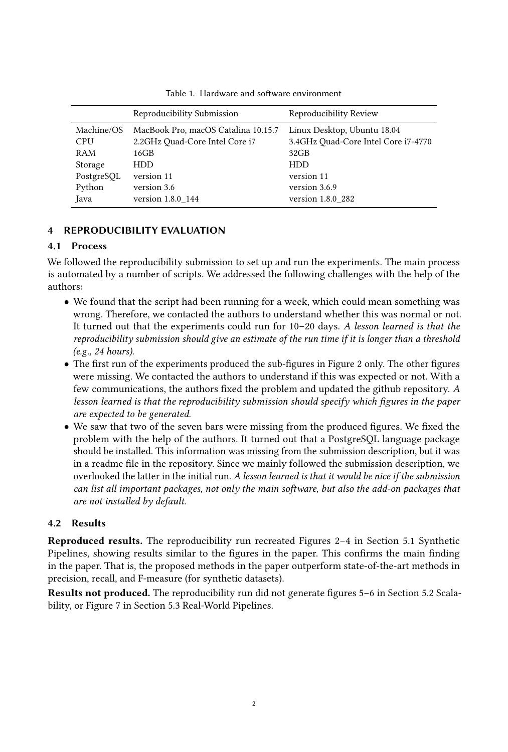|                          | Reproducibility Submission                                            | Reproducibility Review                                             |
|--------------------------|-----------------------------------------------------------------------|--------------------------------------------------------------------|
| Machine/OS<br><b>CPU</b> | MacBook Pro, macOS Catalina 10.15.7<br>2.2GHz Quad-Core Intel Core i7 | Linux Desktop, Ubuntu 18.04<br>3.4GHz Quad-Core Intel Core i7-4770 |
| RAM                      | 16GB                                                                  | 32GB                                                               |
| Storage                  | HDD.                                                                  | <b>HDD</b>                                                         |
| PostgreSQL               | version 11                                                            | version 11                                                         |
| Python                   | version 3.6                                                           | version 3.6.9                                                      |
| Java                     | version 1.8.0 144                                                     | version 1.8.0 282                                                  |

Table 1. Hardware and software environment

## 4 REPRODUCIBILITY EVALUATION

## 4.1 Process

We followed the reproducibility submission to set up and run the experiments. The main process is automated by a number of scripts. We addressed the following challenges with the help of the authors:

- We found that the script had been running for a week, which could mean something was wrong. Therefore, we contacted the authors to understand whether this was normal or not. It turned out that the experiments could run for 10–20 days. A lesson learned is that the reproducibility submission should give an estimate of the run time if it is longer than a threshold (e.g., 24 hours).
- The first run of the experiments produced the sub-figures in Figure 2 only. The other figures were missing. We contacted the authors to understand if this was expected or not. With a few communications, the authors fixed the problem and updated the github repository. A lesson learned is that the reproducibility submission should specify which figures in the paper are expected to be generated.
- We saw that two of the seven bars were missing from the produced figures. We fixed the problem with the help of the authors. It turned out that a PostgreSQL language package should be installed. This information was missing from the submission description, but it was in a readme file in the repository. Since we mainly followed the submission description, we overlooked the latter in the initial run. A lesson learned is that it would be nice if the submission can list all important packages, not only the main software, but also the add-on packages that are not installed by default.

## 4.2 Results

Reproduced results. The reproducibility run recreated Figures 2–4 in Section 5.1 Synthetic Pipelines, showing results similar to the figures in the paper. This confirms the main finding in the paper. That is, the proposed methods in the paper outperform state-of-the-art methods in precision, recall, and F-measure (for synthetic datasets).

Results not produced. The reproducibility run did not generate figures 5–6 in Section 5.2 Scalability, or Figure 7 in Section 5.3 Real-World Pipelines.